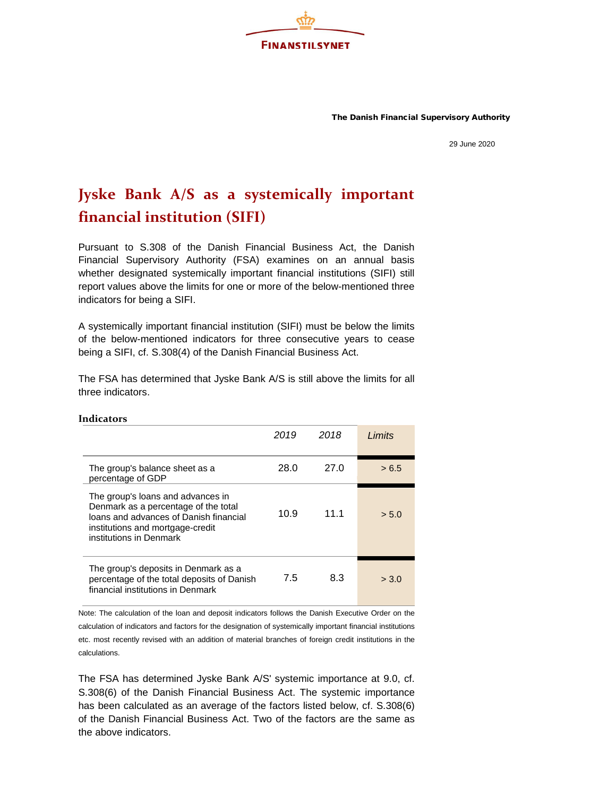The Danish Financial Supervisory Authority

29 June 2020

## **Jyske Bank A/S as a systemically important financial institution (SIFI)**

**FINANSTILSYNET** 

Pursuant to S.308 of the Danish Financial Business Act, the Danish Financial Supervisory Authority (FSA) examines on an annual basis whether designated systemically important financial institutions (SIFI) still report values above the limits for one or more of the below-mentioned three indicators for being a SIFI.

A systemically important financial institution (SIFI) must be below the limits of the below-mentioned indicators for three consecutive years to cease being a SIFI, cf. S.308(4) of the Danish Financial Business Act.

The FSA has determined that Jyske Bank A/S is still above the limits for all three indicators.

|                                                                                                                                                                                    | 2019 | 2018 | Limits |
|------------------------------------------------------------------------------------------------------------------------------------------------------------------------------------|------|------|--------|
| The group's balance sheet as a<br>percentage of GDP                                                                                                                                | 28.0 | 27.0 | > 6.5  |
| The group's loans and advances in<br>Denmark as a percentage of the total<br>loans and advances of Danish financial<br>institutions and mortgage-credit<br>institutions in Denmark | 10.9 | 11.1 | > 5.0  |
| The group's deposits in Denmark as a<br>percentage of the total deposits of Danish<br>financial institutions in Denmark                                                            | 7.5  | 8.3  | > 3.0  |

**Indicators**

Note: The calculation of the loan and deposit indicators follows the Danish Executive Order on the calculation of indicators and factors for the designation of systemically important financial institutions etc. most recently revised with an addition of material branches of foreign credit institutions in the calculations.

The FSA has determined Jyske Bank A/S' systemic importance at 9.0, cf. S.308(6) of the Danish Financial Business Act. The systemic importance has been calculated as an average of the factors listed below, cf. S.308(6) of the Danish Financial Business Act. Two of the factors are the same as the above indicators.